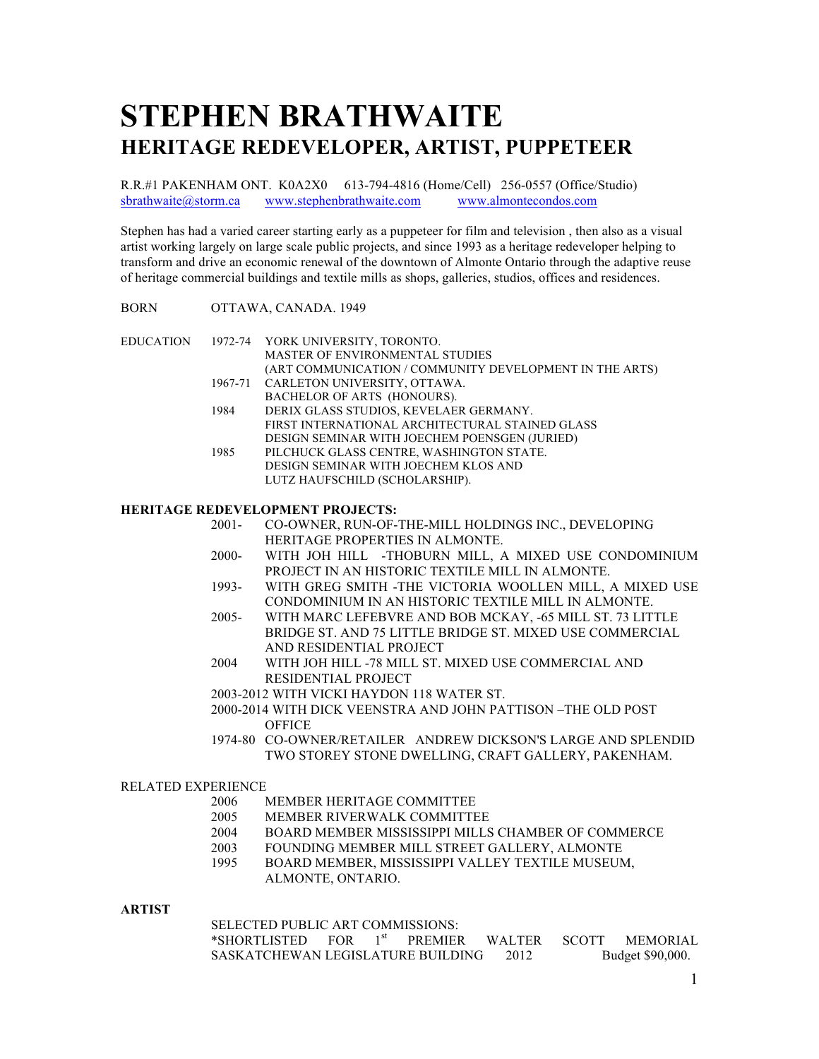# **STEPHEN BRATHWAITE HERITAGE REDEVELOPER, ARTIST, PUPPETEER**

R.R.#1 PAKENHAM ONT. K0A2X0 613-794-4816 (Home/Cell) 256-0557 (Office/Studio) sbrathwaite@storm.ca www.stephenbrathwaite.com www.almontecondos.com

Stephen has had a varied career starting early as a puppeteer for film and television , then also as a visual artist working largely on large scale public projects, and since 1993 as a heritage redeveloper helping to transform and drive an economic renewal of the downtown of Almonte Ontario through the adaptive reuse of heritage commercial buildings and textile mills as shops, galleries, studios, offices and residences.

# BORN OTTAWA, CANADA. 1949

|      | EDUCATION 1972-74 YORK UNIVERSITY, TORONTO.             |
|------|---------------------------------------------------------|
|      | <b>MASTER OF ENVIRONMENTAL STUDIES</b>                  |
|      | (ART COMMUNICATION / COMMUNITY DEVELOPMENT IN THE ARTS) |
|      | 1967-71 CARLETON UNIVERSITY, OTTAWA.                    |
|      | BACHELOR OF ARTS (HONOURS).                             |
| 1984 | DERIX GLASS STUDIOS, KEVELAER GERMANY.                  |
|      | FIRST INTERNATIONAL ARCHITECTURAL STAINED GLASS         |
|      | DESIGN SEMINAR WITH JOECHEM POENSGEN (JURIED)           |
| 1985 | PILCHUCK GLASS CENTRE, WASHINGTON STATE.                |
|      | DESIGN SEMINAR WITH JOECHEM KLOS AND                    |
|      | LUTZ HAUFSCHILD (SCHOLARSHIP).                          |
|      |                                                         |

## **HERITAGE REDEVELOPMENT PROJECTS:**

- 2001- CO-OWNER, RUN-OF-THE-MILL HOLDINGS INC., DEVELOPING HERITAGE PROPERTIES IN ALMONTE.
- 2000- WITH JOH HILL -THOBURN MILL, A MIXED USE CONDOMINIUM PROJECT IN AN HISTORIC TEXTILE MILL IN ALMONTE.
- 1993- WITH GREG SMITH -THE VICTORIA WOOLLEN MILL, A MIXED USE CONDOMINIUM IN AN HISTORIC TEXTILE MILL IN ALMONTE.
- 2005- WITH MARC LEFEBVRE AND BOB MCKAY, -65 MILL ST. 73 LITTLE BRIDGE ST. AND 75 LITTLE BRIDGE ST. MIXED USE COMMERCIAL AND RESIDENTIAL PROJECT
- 2004 WITH JOH HILL -78 MILL ST. MIXED USE COMMERCIAL AND RESIDENTIAL PROJECT
- 2003-2012 WITH VICKI HAYDON 118 WATER ST.
- 2000-2014 WITH DICK VEENSTRA AND JOHN PATTISON –THE OLD POST **OFFICE**
- 1974-80 CO-OWNER/RETAILER ANDREW DICKSON'S LARGE AND SPLENDID TWO STOREY STONE DWELLING, CRAFT GALLERY, PAKENHAM.

#### RELATED EXPERIENCE

- 2006 MEMBER HERITAGE COMMITTEE
- 2005 MEMBER RIVERWALK COMMITTEE
- 2004 BOARD MEMBER MISSISSIPPI MILLS CHAMBER OF COMMERCE
- 2003 FOUNDING MEMBER MILL STREET GALLERY, ALMONTE
- 1995 BOARD MEMBER, MISSISSIPPI VALLEY TEXTILE MUSEUM, ALMONTE, ONTARIO.

## **ARTIST**

SELECTED PUBLIC ART COMMISSIONS:

| *SHORTLISTED_                     | <b>FOR</b> |  | <b>PREMIER</b> | <b>WALTER</b> | <b>SCOTT</b>     | <b>MEMORIAL</b> |
|-----------------------------------|------------|--|----------------|---------------|------------------|-----------------|
| SASKATCHEWAN LEGISLATURE BUILDING |            |  |                | 2012          | Budget \$90,000. |                 |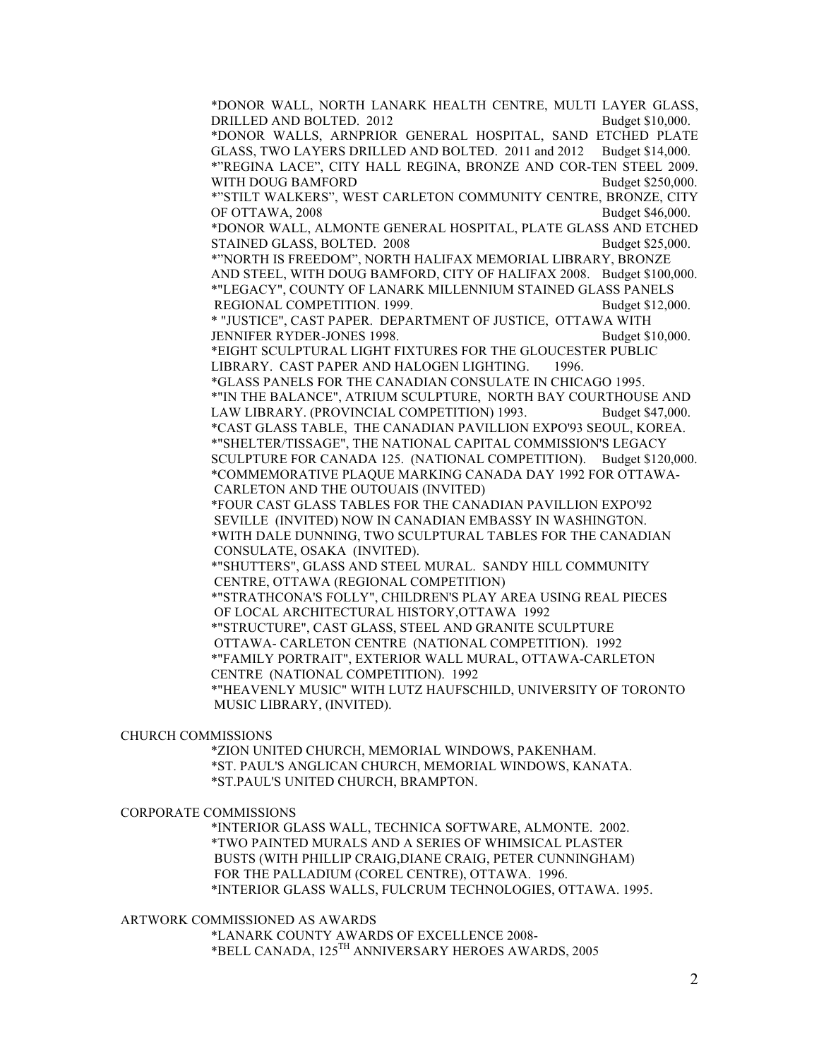\*DONOR WALL, NORTH LANARK HEALTH CENTRE, MULTI LAYER GLASS, DRILLED AND BOLTED. 2012 Budget \$10,000. \*DONOR WALLS, ARNPRIOR GENERAL HOSPITAL, SAND ETCHED PLATE GLASS, TWO LAYERS DRILLED AND BOLTED. 2011 and 2012 Budget \$14,000. \*"REGINA LACE", CITY HALL REGINA, BRONZE AND COR-TEN STEEL 2009. WITH DOUG BAMFORD Budget \$250,000. \*"STILT WALKERS", WEST CARLETON COMMUNITY CENTRE, BRONZE, CITY OF OTTAWA, 2008 Budget \$46,000. \*DONOR WALL, ALMONTE GENERAL HOSPITAL, PLATE GLASS AND ETCHED STAINED GLASS, BOLTED. 2008 Budget \$25,000. \*"NORTH IS FREEDOM", NORTH HALIFAX MEMORIAL LIBRARY, BRONZE AND STEEL, WITH DOUG BAMFORD, CITY OF HALIFAX 2008. Budget \$100,000. \*"LEGACY", COUNTY OF LANARK MILLENNIUM STAINED GLASS PANELS REGIONAL COMPETITION. 1999. Budget \$12,000. \* "JUSTICE", CAST PAPER. DEPARTMENT OF JUSTICE, OTTAWA WITH JENNIFER RYDER-JONES 1998. Budget \$10,000. \*EIGHT SCULPTURAL LIGHT FIXTURES FOR THE GLOUCESTER PUBLIC LIBRARY. CAST PAPER AND HALOGEN LIGHTING. 1996. \*GLASS PANELS FOR THE CANADIAN CONSULATE IN CHICAGO 1995. \*"IN THE BALANCE", ATRIUM SCULPTURE, NORTH BAY COURTHOUSE AND LAW LIBRARY. (PROVINCIAL COMPETITION) 1993. Budget \$47,000. \*CAST GLASS TABLE, THE CANADIAN PAVILLION EXPO'93 SEOUL, KOREA. \*"SHELTER/TISSAGE", THE NATIONAL CAPITAL COMMISSION'S LEGACY SCULPTURE FOR CANADA 125. (NATIONAL COMPETITION). Budget \$120,000. \*COMMEMORATIVE PLAQUE MARKING CANADA DAY 1992 FOR OTTAWA-CARLETON AND THE OUTOUAIS (INVITED) \*FOUR CAST GLASS TABLES FOR THE CANADIAN PAVILLION EXPO'92 SEVILLE (INVITED) NOW IN CANADIAN EMBASSY IN WASHINGTON. \*WITH DALE DUNNING, TWO SCULPTURAL TABLES FOR THE CANADIAN CONSULATE, OSAKA (INVITED). \*"SHUTTERS", GLASS AND STEEL MURAL. SANDY HILL COMMUNITY CENTRE, OTTAWA (REGIONAL COMPETITION) \*"STRATHCONA'S FOLLY", CHILDREN'S PLAY AREA USING REAL PIECES OF LOCAL ARCHITECTURAL HISTORY,OTTAWA 1992 \*"STRUCTURE", CAST GLASS, STEEL AND GRANITE SCULPTURE OTTAWA- CARLETON CENTRE (NATIONAL COMPETITION). 1992 \*"FAMILY PORTRAIT", EXTERIOR WALL MURAL, OTTAWA-CARLETON CENTRE (NATIONAL COMPETITION). 1992 \*"HEAVENLY MUSIC" WITH LUTZ HAUFSCHILD, UNIVERSITY OF TORONTO MUSIC LIBRARY, (INVITED).

#### CHURCH COMMISSIONS

\*ZION UNITED CHURCH, MEMORIAL WINDOWS, PAKENHAM. \*ST. PAUL'S ANGLICAN CHURCH, MEMORIAL WINDOWS, KANATA. \*ST.PAUL'S UNITED CHURCH, BRAMPTON.

#### CORPORATE COMMISSIONS

\*INTERIOR GLASS WALL, TECHNICA SOFTWARE, ALMONTE. 2002. \*TWO PAINTED MURALS AND A SERIES OF WHIMSICAL PLASTER BUSTS (WITH PHILLIP CRAIG,DIANE CRAIG, PETER CUNNINGHAM) FOR THE PALLADIUM (COREL CENTRE), OTTAWA. 1996. \*INTERIOR GLASS WALLS, FULCRUM TECHNOLOGIES, OTTAWA. 1995.

## ARTWORK COMMISSIONED AS AWARDS

\*LANARK COUNTY AWARDS OF EXCELLENCE 2008- \*BELL CANADA, 125TH ANNIVERSARY HEROES AWARDS, 2005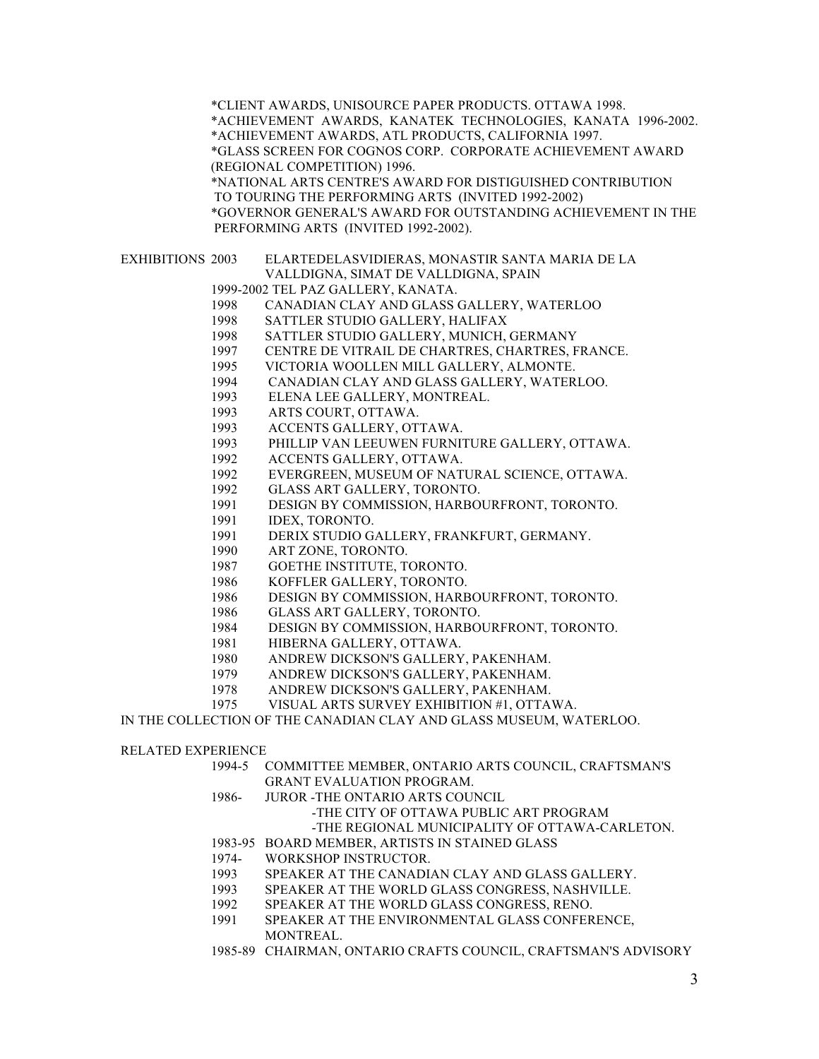\*CLIENT AWARDS, UNISOURCE PAPER PRODUCTS. OTTAWA 1998. \*ACHIEVEMENT AWARDS, KANATEK TECHNOLOGIES, KANATA 1996-2002. \*ACHIEVEMENT AWARDS, ATL PRODUCTS, CALIFORNIA 1997. \*GLASS SCREEN FOR COGNOS CORP. CORPORATE ACHIEVEMENT AWARD (REGIONAL COMPETITION) 1996. \*NATIONAL ARTS CENTRE'S AWARD FOR DISTIGUISHED CONTRIBUTION TO TOURING THE PERFORMING ARTS (INVITED 1992-2002) \*GOVERNOR GENERAL'S AWARD FOR OUTSTANDING ACHIEVEMENT IN THE PERFORMING ARTS (INVITED 1992-2002). EXHIBITIONS 2003 ELARTEDELASVIDIERAS, MONASTIR SANTA MARIA DE LA VALLDIGNA, SIMAT DE VALLDIGNA, SPAIN 1999-2002 TEL PAZ GALLERY, KANATA. 1998 CANADIAN CLAY AND GLASS GALLERY, WATERLOO 1998 SATTLER STUDIO GALLERY, HALIFAX 1998 SATTLER STUDIO GALLERY, MUNICH, GERMANY 1997 CENTRE DE VITRAIL DE CHARTRES, CHARTRES, FRANCE. 1995 VICTORIA WOOLLEN MILL GALLERY, ALMONTE. 1994 CANADIAN CLAY AND GLASS GALLERY, WATERLOO. 1993 ELENA LEE GALLERY, MONTREAL. 1993 ARTS COURT, OTTAWA. 1993 ACCENTS GALLERY, OTTAWA. 1993 PHILLIP VAN LEEUWEN FURNITURE GALLERY, OTTAWA. 1992 ACCENTS GALLERY, OTTAWA. 1992 EVERGREEN, MUSEUM OF NATURAL SCIENCE, OTTAWA. 1992 GLASS ART GALLERY, TORONTO. 1991 DESIGN BY COMMISSION, HARBOURFRONT, TORONTO. 1991 IDEX, TORONTO. 1991 DERIX STUDIO GALLERY, FRANKFURT, GERMANY. 1990 ART ZONE, TORONTO. 1987 GOETHE INSTITUTE, TORONTO. 1986 KOFFLER GALLERY, TORONTO. 1986 DESIGN BY COMMISSION, HARBOURFRONT, TORONTO. 1986 GLASS ART GALLERY, TORONTO. 1984 DESIGN BY COMMISSION, HARBOURFRONT, TORONTO. 1981 HIBERNA GALLERY, OTTAWA. 1980 ANDREW DICKSON'S GALLERY, PAKENHAM. 1979 ANDREW DICKSON'S GALLERY, PAKENHAM. 1978 ANDREW DICKSON'S GALLERY, PAKENHAM. 1975 VISUAL ARTS SURVEY EXHIBITION #1, OTTAWA. IN THE COLLECTION OF THE CANADIAN CLAY AND GLASS MUSEUM, WATERLOO. RELATED EXPERIENCE 1994-5 COMMITTEE MEMBER, ONTARIO ARTS COUNCIL, CRAFTSMAN'S GRANT EVALUATION PROGRAM. 1986- JUROR -THE ONTARIO ARTS COUNCIL -THE CITY OF OTTAWA PUBLIC ART PROGRAM -THE REGIONAL MUNICIPALITY OF OTTAWA-CARLETON. 1983-95 BOARD MEMBER, ARTISTS IN STAINED GLASS 1974- WORKSHOP INSTRUCTOR.

- 1993 SPEAKER AT THE CANADIAN CLAY AND GLASS GALLERY.
- 1993 SPEAKER AT THE WORLD GLASS CONGRESS, NASHVILLE.
- 1992 SPEAKER AT THE WORLD GLASS CONGRESS, RENO.
- 1991 SPEAKER AT THE ENVIRONMENTAL GLASS CONFERENCE, MONTREAL.
- 1985-89 CHAIRMAN, ONTARIO CRAFTS COUNCIL, CRAFTSMAN'S ADVISORY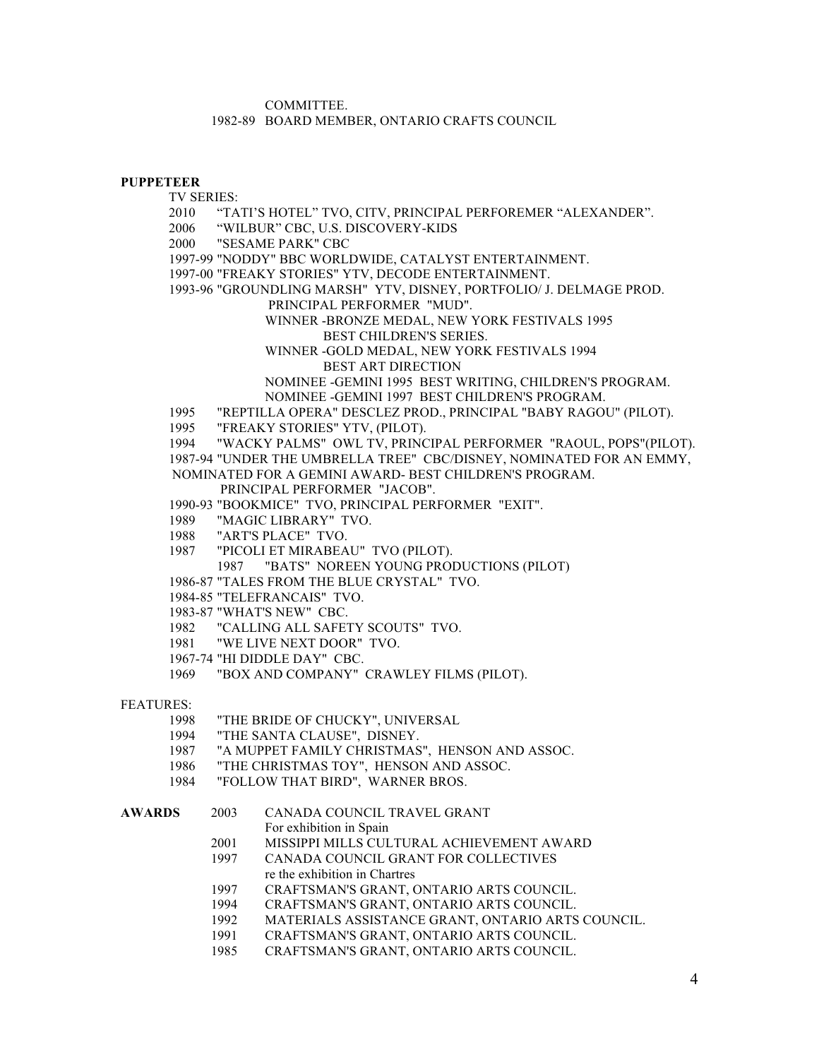COMMITTEE.

1982-89 BOARD MEMBER, ONTARIO CRAFTS COUNCIL

#### **PUPPETEER**

TV SERIES:

2010 "TATI'S HOTEL" TVO, CITV, PRINCIPAL PERFOREMER "ALEXANDER".

2006 "WILBUR" CBC, U.S. DISCOVERY-KIDS

2000 "SESAME PARK" CBC

1997-99 "NODDY" BBC WORLDWIDE, CATALYST ENTERTAINMENT.

1997-00 "FREAKY STORIES" YTV, DECODE ENTERTAINMENT.

1993-96 "GROUNDLING MARSH" YTV, DISNEY, PORTFOLIO/ J. DELMAGE PROD.

PRINCIPAL PERFORMER "MUD".

WINNER -BRONZE MEDAL, NEW YORK FESTIVALS 1995 BEST CHILDREN'S SERIES.

WINNER -GOLD MEDAL, NEW YORK FESTIVALS 1994 BEST ART DIRECTION

NOMINEE -GEMINI 1995 BEST WRITING, CHILDREN'S PROGRAM. NOMINEE -GEMINI 1997 BEST CHILDREN'S PROGRAM.

1995 "REPTILLA OPERA" DESCLEZ PROD., PRINCIPAL "BABY RAGOU" (PILOT).

1995 "FREAKY STORIES" YTV, (PILOT).

1994 "WACKY PALMS" OWL TV, PRINCIPAL PERFORMER "RAOUL, POPS"(PILOT). 1987-94 "UNDER THE UMBRELLA TREE" CBC/DISNEY, NOMINATED FOR AN EMMY, NOMINATED FOR A GEMINI AWARD- BEST CHILDREN'S PROGRAM.

PRINCIPAL PERFORMER "JACOB".

1990-93 "BOOKMICE" TVO, PRINCIPAL PERFORMER "EXIT".

1989 "MAGIC LIBRARY" TVO.

1988 "ART'S PLACE" TVO.

1987 "PICOLI ET MIRABEAU" TVO (PILOT).

1987 "BATS" NOREEN YOUNG PRODUCTIONS (PILOT)

1986-87 "TALES FROM THE BLUE CRYSTAL" TVO.

1984-85 "TELEFRANCAIS" TVO.

1983-87 "WHAT'S NEW" CBC.

- 1982 "CALLING ALL SAFETY SCOUTS" TVO.
- 1981 "WE LIVE NEXT DOOR" TVO.
- 1967-74 "HI DIDDLE DAY" CBC.

1969 "BOX AND COMPANY" CRAWLEY FILMS (PILOT).

FEATURES:

- 1998 "THE BRIDE OF CHUCKY", UNIVERSAL
- 1994 "THE SANTA CLAUSE", DISNEY.
- 1987 "A MUPPET FAMILY CHRISTMAS", HENSON AND ASSOC.
- 1986 "THE CHRISTMAS TOY", HENSON AND ASSOC.
- 1984 "FOLLOW THAT BIRD", WARNER BROS.

# **AWARDS** 2003 CANADA COUNCIL TRAVEL GRANT

- For exhibition in Spain
- 2001 MISSIPPI MILLS CULTURAL ACHIEVEMENT AWARD
- 1997 CANADA COUNCIL GRANT FOR COLLECTIVES re the exhibition in Chartres
- 1997 CRAFTSMAN'S GRANT, ONTARIO ARTS COUNCIL.
- 1994 CRAFTSMAN'S GRANT, ONTARIO ARTS COUNCIL.
- 1992 MATERIALS ASSISTANCE GRANT, ONTARIO ARTS COUNCIL.
- 1991 CRAFTSMAN'S GRANT, ONTARIO ARTS COUNCIL.
- 1985 CRAFTSMAN'S GRANT, ONTARIO ARTS COUNCIL.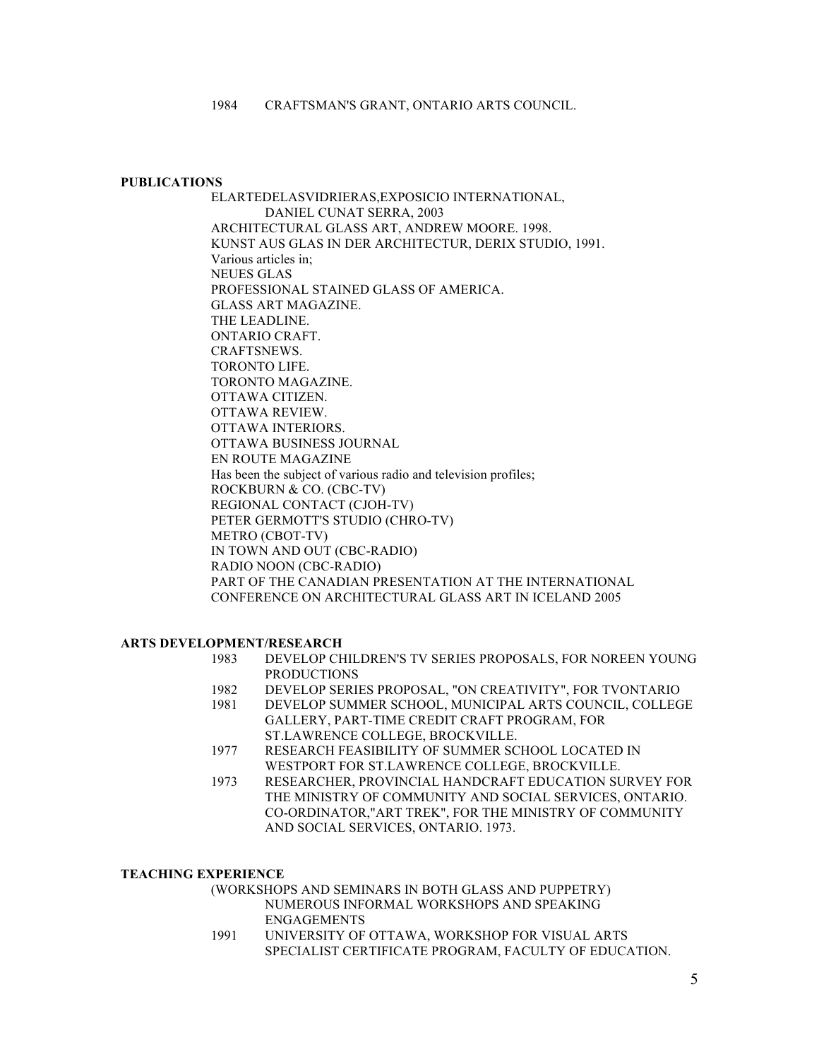#### **PUBLICATIONS**

ELARTEDELASVIDRIERAS,EXPOSICIO INTERNATIONAL, DANIEL CUNAT SERRA, 2003 ARCHITECTURAL GLASS ART, ANDREW MOORE. 1998. KUNST AUS GLAS IN DER ARCHITECTUR, DERIX STUDIO, 1991. Various articles in; NEUES GLAS PROFESSIONAL STAINED GLASS OF AMERICA. GLASS ART MAGAZINE. THE LEADLINE. ONTARIO CRAFT. CRAFTSNEWS. TORONTO LIFE. TORONTO MAGAZINE. OTTAWA CITIZEN. OTTAWA REVIEW. OTTAWA INTERIORS. OTTAWA BUSINESS JOURNAL EN ROUTE MAGAZINE Has been the subject of various radio and television profiles; ROCKBURN & CO. (CBC-TV) REGIONAL CONTACT (CJOH-TV) PETER GERMOTT'S STUDIO (CHRO-TV) METRO (CBOT-TV) IN TOWN AND OUT (CBC-RADIO) RADIO NOON (CBC-RADIO) PART OF THE CANADIAN PRESENTATION AT THE INTERNATIONAL CONFERENCE ON ARCHITECTURAL GLASS ART IN ICELAND 2005

## **ARTS DEVELOPMENT/RESEARCH**

- 1983 DEVELOP CHILDREN'S TV SERIES PROPOSALS, FOR NOREEN YOUNG PRODUCTIONS
- 1982 DEVELOP SERIES PROPOSAL, "ON CREATIVITY", FOR TVONTARIO
- 1981 DEVELOP SUMMER SCHOOL, MUNICIPAL ARTS COUNCIL, COLLEGE GALLERY, PART-TIME CREDIT CRAFT PROGRAM, FOR ST.LAWRENCE COLLEGE, BROCKVILLE.
- 1977 RESEARCH FEASIBILITY OF SUMMER SCHOOL LOCATED IN WESTPORT FOR ST.LAWRENCE COLLEGE, BROCKVILLE.
- 1973 RESEARCHER, PROVINCIAL HANDCRAFT EDUCATION SURVEY FOR THE MINISTRY OF COMMUNITY AND SOCIAL SERVICES, ONTARIO. CO-ORDINATOR,"ART TREK", FOR THE MINISTRY OF COMMUNITY AND SOCIAL SERVICES, ONTARIO. 1973.

## **TEACHING EXPERIENCE**

(WORKSHOPS AND SEMINARS IN BOTH GLASS AND PUPPETRY) NUMEROUS INFORMAL WORKSHOPS AND SPEAKING ENGAGEMENTS

1991 UNIVERSITY OF OTTAWA, WORKSHOP FOR VISUAL ARTS SPECIALIST CERTIFICATE PROGRAM, FACULTY OF EDUCATION.